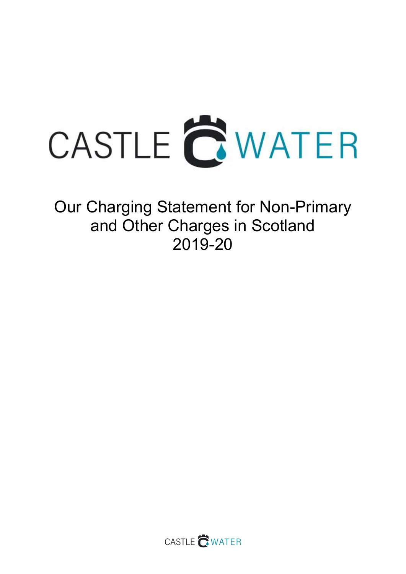

Our Charging Statement for Non-Primary and Other Charges in Scotland 2019-20

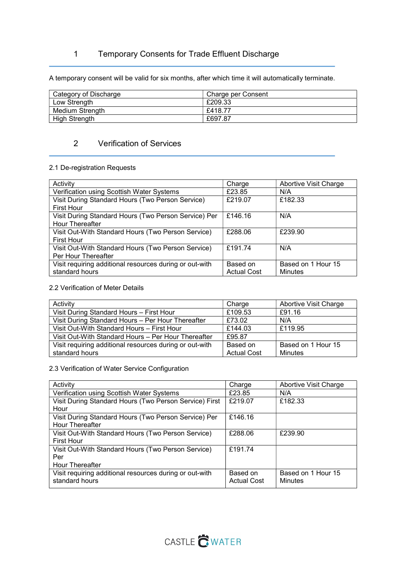# 1 Temporary Consents for Trade Effluent Discharge

A temporary consent will be valid for six months, after which time it will automatically terminate.

| Category of Discharge | Charge per Consent |
|-----------------------|--------------------|
| Low Strength          | £209.33            |
| Medium Strength       | £418.77            |
| <b>High Strength</b>  | £697.87            |

# 2 Verification of Services

### 2.1 De-registration Requests

| Activity                                                | Charge             | Abortive Visit Charge |
|---------------------------------------------------------|--------------------|-----------------------|
| Verification using Scottish Water Systems               | £23.85             | N/A                   |
| Visit During Standard Hours (Two Person Service)        | £219.07            | £182.33               |
| <b>First Hour</b>                                       |                    |                       |
| Visit During Standard Hours (Two Person Service) Per    | £146.16            | N/A                   |
| Hour Thereafter                                         |                    |                       |
| Visit Out-With Standard Hours (Two Person Service)      | £288.06            | £239.90               |
| <b>First Hour</b>                                       |                    |                       |
| Visit Out-With Standard Hours (Two Person Service)      | £191.74            | N/A                   |
| Per Hour Thereafter                                     |                    |                       |
| Visit requiring additional resources during or out-with | Based on           | Based on 1 Hour 15    |
| standard hours                                          | <b>Actual Cost</b> | Minutes               |

### 2.2 Verification of Meter Details

| Activity                                                | Charge             | <b>Abortive Visit Charge</b> |
|---------------------------------------------------------|--------------------|------------------------------|
| Visit During Standard Hours - First Hour                | £109.53            | £91.16                       |
| Visit During Standard Hours - Per Hour Thereafter       | £73.02             | N/A                          |
| Visit Out-With Standard Hours - First Hour              | £144.03            | £119.95                      |
| Visit Out-With Standard Hours - Per Hour Thereafter     | £95.87             |                              |
| Visit requiring additional resources during or out-with | Based on           | Based on 1 Hour 15           |
| standard hours                                          | <b>Actual Cost</b> | Minutes                      |

### 2.3 Verification of Water Service Configuration

| Activity                                                | Charge             | Abortive Visit Charge |
|---------------------------------------------------------|--------------------|-----------------------|
| Verification using Scottish Water Systems               | £23.85             | N/A                   |
| Visit During Standard Hours (Two Person Service) First  | £219.07            | £182.33               |
| Hour                                                    |                    |                       |
| Visit During Standard Hours (Two Person Service) Per    | £146.16            |                       |
| <b>Hour Thereafter</b>                                  |                    |                       |
| Visit Out-With Standard Hours (Two Person Service)      | £288.06            | £239.90               |
| <b>First Hour</b>                                       |                    |                       |
| Visit Out-With Standard Hours (Two Person Service)      | £191.74            |                       |
| Per                                                     |                    |                       |
| <b>Hour Thereafter</b>                                  |                    |                       |
| Visit requiring additional resources during or out-with | Based on           | Based on 1 Hour 15    |
| standard hours                                          | <b>Actual Cost</b> | Minutes               |
|                                                         |                    |                       |

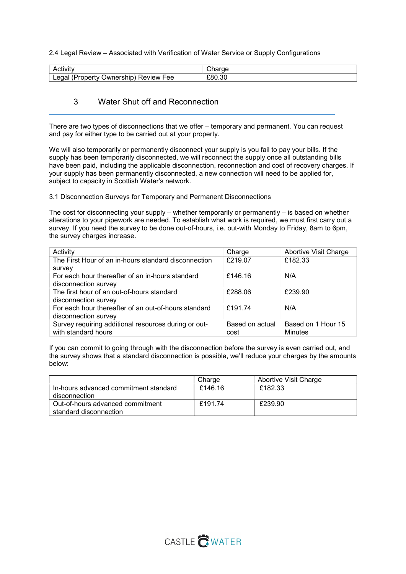2.4 Legal Review – Associated with Verification of Water Service or Supply Configurations

| Activitv                                                 | $  -$<br>rae<br>ا اب |
|----------------------------------------------------------|----------------------|
| egal<br><b>Jwnership</b><br>Review<br>√ Property،<br>Fee | £80.30               |

### 3 Water Shut off and Reconnection

There are two types of disconnections that we offer – temporary and permanent. You can request and pay for either type to be carried out at your property.

We will also temporarily or permanently disconnect your supply is you fail to pay your bills. If the supply has been temporarily disconnected, we will reconnect the supply once all outstanding bills have been paid, including the applicable disconnection, reconnection and cost of recovery charges. If your supply has been permanently disconnected, a new connection will need to be applied for, subject to capacity in Scottish Water's network.

3.1 Disconnection Surveys for Temporary and Permanent Disconnections

The cost for disconnecting your supply – whether temporarily or permanently  $-$  is based on whether alterations to your pipework are needed. To establish what work is required, we must first carry out a survey. If you need the survey to be done out-of-hours, i.e. out-with Monday to Friday, 8am to 6pm, the survey charges increase.

| Activity                                             | Charge          | <b>Abortive Visit Charge</b> |
|------------------------------------------------------|-----------------|------------------------------|
| The First Hour of an in-hours standard disconnection | £219.07         | £182.33                      |
| survey                                               |                 |                              |
| For each hour thereafter of an in-hours standard     | £146.16         | N/A                          |
| disconnection survey                                 |                 |                              |
| The first hour of an out-of-hours standard           | £288.06         | £239.90                      |
| disconnection survey                                 |                 |                              |
| For each hour thereafter of an out-of-hours standard | £191.74         | N/A                          |
| disconnection survey                                 |                 |                              |
| Survey requiring additional resources during or out- | Based on actual | Based on 1 Hour 15           |
| with standard hours                                  | cost            | <b>Minutes</b>               |

If you can commit to going through with the disconnection before the survey is even carried out, and the survey shows that a standard disconnection is possible, we'll reduce your charges by the amounts below:

|                                       | Charge  | Abortive Visit Charge |
|---------------------------------------|---------|-----------------------|
| In-hours advanced commitment standard | £146.16 | £182.33               |
| disconnection                         |         |                       |
| Out-of-hours advanced commitment      | £191.74 | £239.90               |
| standard disconnection                |         |                       |

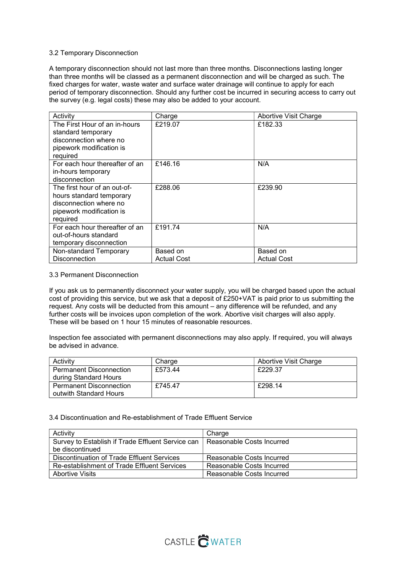#### 3.2 Temporary Disconnection

A temporary disconnection should not last more than three months. Disconnections lasting longer than three months will be classed as a permanent disconnection and will be charged as such. The fixed charges for water, waste water and surface water drainage will continue to apply for each period of temporary disconnection. Should any further cost be incurred in securing access to carry out the survey (e.g. legal costs) these may also be added to your account.

| Activity                                                                                                                   | Charge                         | Abortive Visit Charge          |
|----------------------------------------------------------------------------------------------------------------------------|--------------------------------|--------------------------------|
| The First Hour of an in-hours<br>standard temporary<br>disconnection where no<br>pipework modification is<br>required      | £219.07                        | £182.33                        |
| For each hour thereafter of an<br>in-hours temporary<br>disconnection                                                      | £146.16                        | N/A                            |
| The first hour of an out-of-<br>hours standard temporary<br>disconnection where no<br>pipework modification is<br>required | £288.06                        | £239.90                        |
| For each hour thereafter of an<br>out-of-hours standard<br>temporary disconnection                                         | £191.74                        | N/A                            |
| Non-standard Temporary<br><b>Disconnection</b>                                                                             | Based on<br><b>Actual Cost</b> | Based on<br><b>Actual Cost</b> |

#### 3.3 Permanent Disconnection

If you ask us to permanently disconnect your water supply, you will be charged based upon the actual cost of providing this service, but we ask that a deposit of £250+VAT is paid prior to us submitting the request. Any costs will be deducted from this amount – any difference will be refunded, and any further costs will be invoices upon completion of the work. Abortive visit charges will also apply. These will be based on 1 hour 15 minutes of reasonable resources.

Inspection fee associated with permanent disconnections may also apply. If required, you will always be advised in advance.

| Activity                                                 | Charge  | Abortive Visit Charge |
|----------------------------------------------------------|---------|-----------------------|
| <b>Permanent Disconnection</b><br>during Standard Hours  | £573.44 | £229.37               |
| <b>Permanent Disconnection</b><br>outwith Standard Hours | £745.47 | £298.14               |

#### 3.4 Discontinuation and Re-establishment of Trade Effluent Service

| Activity                                          | Charge                    |
|---------------------------------------------------|---------------------------|
| Survey to Establish if Trade Effluent Service can | Reasonable Costs Incurred |
| be discontinued                                   |                           |
| Discontinuation of Trade Effluent Services        | Reasonable Costs Incurred |
| Re-establishment of Trade Effluent Services       | Reasonable Costs Incurred |
| <b>Abortive Visits</b>                            | Reasonable Costs Incurred |

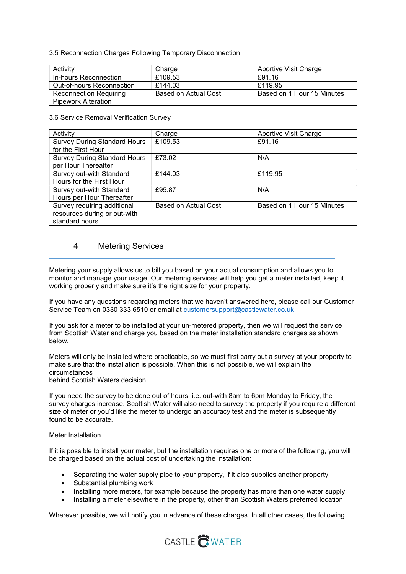3.5 Reconnection Charges Following Temporary Disconnection

| Activity                      | Charge               | <b>Abortive Visit Charge</b> |
|-------------------------------|----------------------|------------------------------|
| In-hours Reconnection         | £109.53              | £91.16                       |
| Out-of-hours Reconnection     | £144.03              | £119.95                      |
| <b>Reconnection Requiring</b> | Based on Actual Cost | Based on 1 Hour 15 Minutes   |
| <b>Pipework Alteration</b>    |                      |                              |

3.6 Service Removal Verification Survey

| Activity                            | Charge               | Abortive Visit Charge      |
|-------------------------------------|----------------------|----------------------------|
| <b>Survey During Standard Hours</b> | £109.53              | £91.16                     |
| for the First Hour                  |                      |                            |
| <b>Survey During Standard Hours</b> | £73.02               | N/A                        |
| per Hour Thereafter                 |                      |                            |
| Survey out-with Standard            | £144.03              | £119.95                    |
| Hours for the First Hour            |                      |                            |
| Survey out-with Standard            | £95.87               | N/A                        |
| Hours per Hour Thereafter           |                      |                            |
| Survey requiring additional         | Based on Actual Cost | Based on 1 Hour 15 Minutes |
| resources during or out-with        |                      |                            |
| standard hours                      |                      |                            |

## 4 Metering Services

Metering your supply allows us to bill you based on your actual consumption and allows you to monitor and manage your usage. Our metering services will help you get a meter installed, keep it working properly and make sure it's the right size for your property.

If you have any questions regarding meters that we haven't answered here, please call our Customer Service Team on 0330 333 6510 or email at customersupport@castlewater.co.uk

If you ask for a meter to be installed at your un-metered property, then we will request the service from Scottish Water and charge you based on the meter installation standard charges as shown below.

Meters will only be installed where practicable, so we must first carry out a survey at your property to make sure that the installation is possible. When this is not possible, we will explain the circumstances

behind Scottish Waters decision.

If you need the survey to be done out of hours, i.e. out-with 8am to 6pm Monday to Friday, the survey charges increase. Scottish Water will also need to survey the property if you require a different size of meter or you'd like the meter to undergo an accuracy test and the meter is subsequently found to be accurate.

#### Meter Installation

If it is possible to install your meter, but the installation requires one or more of the following, you will be charged based on the actual cost of undertaking the installation:

- Separating the water supply pipe to your property, if it also supplies another property
- Substantial plumbing work
- Installing more meters, for example because the property has more than one water supply
- Installing a meter elsewhere in the property, other than Scottish Waters preferred location

Wherever possible, we will notify you in advance of these charges. In all other cases, the following

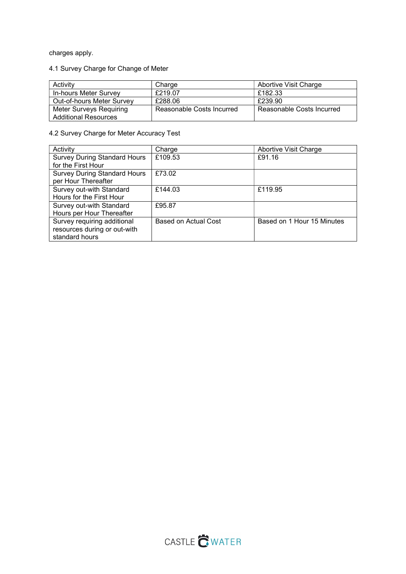charges apply.

# 4.1 Survey Charge for Change of Meter

| Activity                                               | Charge                    | Abortive Visit Charge     |
|--------------------------------------------------------|---------------------------|---------------------------|
| In-hours Meter Survey                                  | £219.07                   | £182.33                   |
| Out-of-hours Meter Survey                              | £288.06                   | £239.90                   |
| Meter Surveys Requiring<br><b>Additional Resources</b> | Reasonable Costs Incurred | Reasonable Costs Incurred |

# 4.2 Survey Charge for Meter Accuracy Test

| Activity                            | Charge               | <b>Abortive Visit Charge</b> |
|-------------------------------------|----------------------|------------------------------|
| <b>Survey During Standard Hours</b> | £109.53              | £91.16                       |
| for the First Hour                  |                      |                              |
| <b>Survey During Standard Hours</b> | £73.02               |                              |
| per Hour Thereafter                 |                      |                              |
| Survey out-with Standard            | £144.03              | £119.95                      |
| Hours for the First Hour            |                      |                              |
| Survey out-with Standard            | £95.87               |                              |
| Hours per Hour Thereafter           |                      |                              |
| Survey requiring additional         | Based on Actual Cost | Based on 1 Hour 15 Minutes   |
| resources during or out-with        |                      |                              |
| standard hours                      |                      |                              |

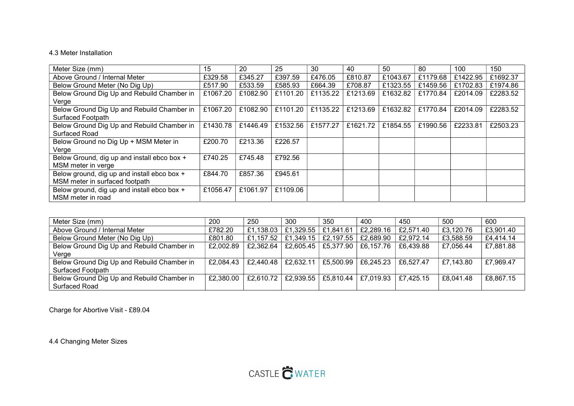### 4.3 Meter Installation

| Meter Size (mm)                             | 15       | 20       | 25       | 30       | 40       | 50       | 80       | 100      | 150      |
|---------------------------------------------|----------|----------|----------|----------|----------|----------|----------|----------|----------|
| Above Ground / Internal Meter               | £329.58  | £345.27  | £397.59  | £476.05  | £810.87  | £1043.67 | £1179.68 | £1422.95 | £1692.37 |
| Below Ground Meter (No Dig Up)              | £517.90  | £533.59  | £585.93  | £664.39  | £708.87  | £1323.55 | £1459.56 | £1702.83 | £1974.86 |
| Below Ground Dig Up and Rebuild Chamber in  | £1067.20 | £1082.90 | £1101.20 | £1135.22 | £1213.69 | £1632.82 | £1770.84 | £2014.09 | £2283.52 |
| Verge                                       |          |          |          |          |          |          |          |          |          |
| Below Ground Dig Up and Rebuild Chamber in  | £1067.20 | £1082.90 | £1101.20 | £1135.22 | £1213.69 | £1632.82 | £1770.84 | £2014.09 | £2283.52 |
| Surfaced Footpath                           |          |          |          |          |          |          |          |          |          |
| Below Ground Dig Up and Rebuild Chamber in  | £1430.78 | £1446.49 | £1532.56 | £1577.27 | £1621.72 | £1854.55 | £1990.56 | £2233.81 | £2503.23 |
| Surfaced Road                               |          |          |          |          |          |          |          |          |          |
| Below Ground no Dig Up + MSM Meter in       | £200.70  | £213.36  | £226.57  |          |          |          |          |          |          |
| Verge                                       |          |          |          |          |          |          |          |          |          |
| Below Ground, dig up and install ebco box + | £740.25  | £745.48  | £792.56  |          |          |          |          |          |          |
| MSM meter in verge                          |          |          |          |          |          |          |          |          |          |
| Below ground, dig up and install ebco box + | £844.70  | £857.36  | £945.61  |          |          |          |          |          |          |
| MSM meter in surfaced footpath              |          |          |          |          |          |          |          |          |          |
| Below ground, dig up and install ebco box + | £1056.47 | £1061.97 | £1109.06 |          |          |          |          |          |          |
| MSM meter in road                           |          |          |          |          |          |          |          |          |          |

| Meter Size (mm)                            | 200       | 250       | 300       | 350       | 400       | 450       | 500       | 600       |
|--------------------------------------------|-----------|-----------|-----------|-----------|-----------|-----------|-----------|-----------|
| Above Ground / Internal Meter              | £782.20   | £1,138.03 | £1,329.55 | £1,841.61 | £2,289.16 | £2,571.40 | £3,120.76 | £3,901.40 |
| Below Ground Meter (No Dig Up)             | £801.80   | £1,157.52 | £1,349.15 | £2,197.55 | £2,689.90 | £2,972.14 | £3,588.59 | £4,414.14 |
| Below Ground Dig Up and Rebuild Chamber in | £2,002.89 | £2,362.64 | £2,605.45 | £5,377.90 | £6,157.76 | £6,439.88 | £7,056.44 | £7,881.88 |
| Verge                                      |           |           |           |           |           |           |           |           |
| Below Ground Dig Up and Rebuild Chamber in | £2,084.43 | £2,440.48 | £2,632.11 | £5,500.99 | £6,245.23 | £6.527.47 | £7,143.80 | £7,969.47 |
| Surfaced Footpath                          |           |           |           |           |           |           |           |           |
| Below Ground Dig Up and Rebuild Chamber in | £2,380.00 | £2,610.72 | £2,939.55 | £5,810.44 | £7,019.93 | £7.425.15 | £8,041.48 | £8,867.15 |
| Surfaced Road                              |           |           |           |           |           |           |           |           |

Charge for Abortive Visit - £89.04

4.4 Changing Meter Sizes

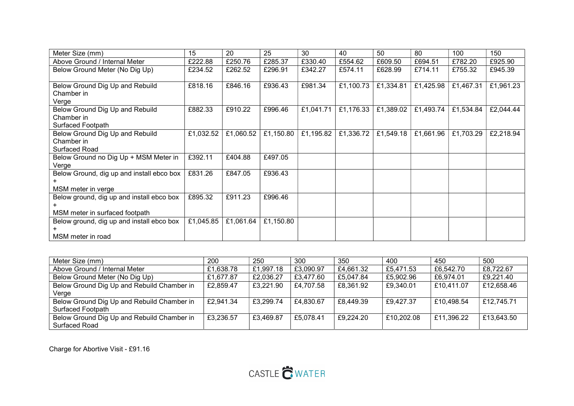| Meter Size (mm)                           | 15        | 20        | 25        | 30        | 40        | 50        | 80        | 100       | 150       |
|-------------------------------------------|-----------|-----------|-----------|-----------|-----------|-----------|-----------|-----------|-----------|
| Above Ground / Internal Meter             | £222.88   | £250.76   | £285.37   | £330.40   | £554.62   | £609.50   | £694.51   | £782.20   | £925.90   |
| Below Ground Meter (No Dig Up)            | £234.52   | £262.52   | £296.91   | £342.27   | £574.11   | £628.99   | £714.11   | £755.32   | £945.39   |
|                                           |           |           |           |           |           |           |           |           |           |
| Below Ground Dig Up and Rebuild           | £818.16   | £846.16   | £936.43   | £981.34   | £1,100.73 | £1,334.81 | £1,425.98 | £1,467.31 | £1,961.23 |
| Chamber in                                |           |           |           |           |           |           |           |           |           |
| Verge                                     |           |           |           |           |           |           |           |           |           |
| Below Ground Dig Up and Rebuild           | £882.33   | £910.22   | £996.46   | £1,041.71 | £1,176.33 | £1,389.02 | £1,493.74 | £1,534.84 | £2,044.44 |
| Chamber in                                |           |           |           |           |           |           |           |           |           |
| Surfaced Footpath                         |           |           |           |           |           |           |           |           |           |
| Below Ground Dig Up and Rebuild           | £1,032.52 | £1,060.52 | £1,150.80 | £1,195.82 | £1,336.72 | £1,549.18 | £1,661.96 | £1,703.29 | £2,218.94 |
| Chamber in                                |           |           |           |           |           |           |           |           |           |
| <b>Surfaced Road</b>                      |           |           |           |           |           |           |           |           |           |
| Below Ground no Dig Up + MSM Meter in     | £392.11   | £404.88   | £497.05   |           |           |           |           |           |           |
| Verge                                     |           |           |           |           |           |           |           |           |           |
| Below Ground, dig up and install ebco box | £831.26   | £847.05   | £936.43   |           |           |           |           |           |           |
|                                           |           |           |           |           |           |           |           |           |           |
| MSM meter in verge                        |           |           |           |           |           |           |           |           |           |
| Below ground, dig up and install ebco box | £895.32   | £911.23   | £996.46   |           |           |           |           |           |           |
|                                           |           |           |           |           |           |           |           |           |           |
| MSM meter in surfaced footpath            |           |           |           |           |           |           |           |           |           |
| Below ground, dig up and install ebco box | £1,045.85 | £1,061.64 | £1,150.80 |           |           |           |           |           |           |
|                                           |           |           |           |           |           |           |           |           |           |
| MSM meter in road                         |           |           |           |           |           |           |           |           |           |

| Meter Size (mm)                            | 200       | 250       | 300       | 350       | 400        | 450        | 500        |
|--------------------------------------------|-----------|-----------|-----------|-----------|------------|------------|------------|
| Above Ground / Internal Meter              | £1,638.78 | £1,997.18 | £3,090.97 | £4,661.32 | £5,471.53  | £6,542.70  | £8,722.67  |
| Below Ground Meter (No Dig Up)             | £1,677.87 | £2,036.27 | £3,477.60 | £5,047.84 | £5,902.96  | £6,974.01  | £9,221.40  |
| Below Ground Dig Up and Rebuild Chamber in | £2,859.47 | £3,221.90 | £4,707.58 | £8,361.92 | £9,340.01  | £10,411.07 | £12,658.46 |
| Verge                                      |           |           |           |           |            |            |            |
| Below Ground Dig Up and Rebuild Chamber in | £2,941.34 | £3,299.74 | £4,830.67 | £8,449.39 | £9,427.37  | £10,498.54 | £12,745.71 |
| Surfaced Footpath                          |           |           |           |           |            |            |            |
| Below Ground Dig Up and Rebuild Chamber in | £3,236.57 | £3,469.87 | £5,078.41 | £9,224.20 | £10,202.08 | £11,396.22 | £13,643.50 |
| <b>Surfaced Road</b>                       |           |           |           |           |            |            |            |

Charge for Abortive Visit - £91.16

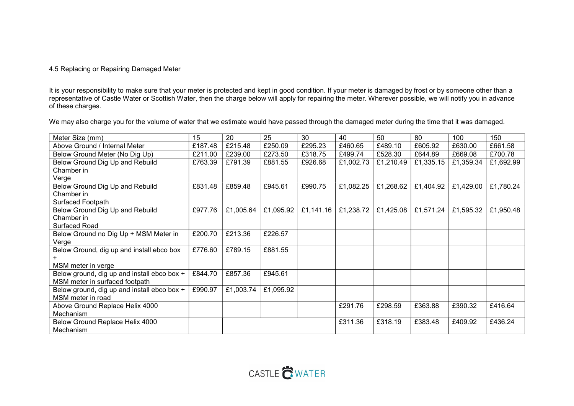### 4.5 Replacing or Repairing Damaged Meter

It is your responsibility to make sure that your meter is protected and kept in good condition. If your meter is damaged by frost or by someone other than a representative of Castle Water or Scottish Water, then the charge below will apply for repairing the meter. Wherever possible, we will notify you in advance of these charges.

We may also charge you for the volume of water that we estimate would have passed through the damaged meter during the time that it was damaged.

| Meter Size (mm)                             | 15      | 20        | 25        | 30        | 40        | 50        | 80        | 100       | 150       |
|---------------------------------------------|---------|-----------|-----------|-----------|-----------|-----------|-----------|-----------|-----------|
| Above Ground / Internal Meter               | £187.48 | £215.48   | £250.09   | £295.23   | £460.65   | £489.10   | £605.92   | £630.00   | £661.58   |
| Below Ground Meter (No Dig Up)              | £211.00 | £239.00   | £273.50   | £318.75   | £499.74   | £528.30   | £644.89   | £669.08   | £700.78   |
| Below Ground Dig Up and Rebuild             | £763.39 | £791.39   | £881.55   | £926.68   | £1,002.73 | £1,210.49 | £1,335.15 | £1,359.34 | £1,692.99 |
| Chamber in                                  |         |           |           |           |           |           |           |           |           |
| Verge                                       |         |           |           |           |           |           |           |           |           |
| Below Ground Dig Up and Rebuild             | £831.48 | £859.48   | £945.61   | £990.75   | £1,082.25 | £1,268.62 | £1,404.92 | £1,429.00 | £1,780.24 |
| Chamber in                                  |         |           |           |           |           |           |           |           |           |
| Surfaced Footpath                           |         |           |           |           |           |           |           |           |           |
| Below Ground Dig Up and Rebuild             | £977.76 | £1,005.64 | £1,095.92 | £1,141.16 | £1,238.72 | £1,425.08 | £1,571.24 | £1,595.32 | £1,950.48 |
| Chamber in                                  |         |           |           |           |           |           |           |           |           |
| Surfaced Road                               |         |           |           |           |           |           |           |           |           |
| Below Ground no Dig Up + MSM Meter in       | £200.70 | £213.36   | £226.57   |           |           |           |           |           |           |
| Verge                                       |         |           |           |           |           |           |           |           |           |
| Below Ground, dig up and install ebco box   | £776.60 | £789.15   | £881.55   |           |           |           |           |           |           |
|                                             |         |           |           |           |           |           |           |           |           |
| MSM meter in verge                          |         |           |           |           |           |           |           |           |           |
| Below ground, dig up and install ebco box + | £844.70 | £857.36   | £945.61   |           |           |           |           |           |           |
| MSM meter in surfaced footpath              |         |           |           |           |           |           |           |           |           |
| Below ground, dig up and install ebco box + | £990.97 | £1,003.74 | £1,095.92 |           |           |           |           |           |           |
| MSM meter in road                           |         |           |           |           |           |           |           |           |           |
| Above Ground Replace Helix 4000             |         |           |           |           | £291.76   | £298.59   | £363.88   | £390.32   | £416.64   |
| Mechanism                                   |         |           |           |           |           |           |           |           |           |
| Below Ground Replace Helix 4000             |         |           |           |           | £311.36   | £318.19   | £383.48   | £409.92   | £436.24   |
| Mechanism                                   |         |           |           |           |           |           |           |           |           |

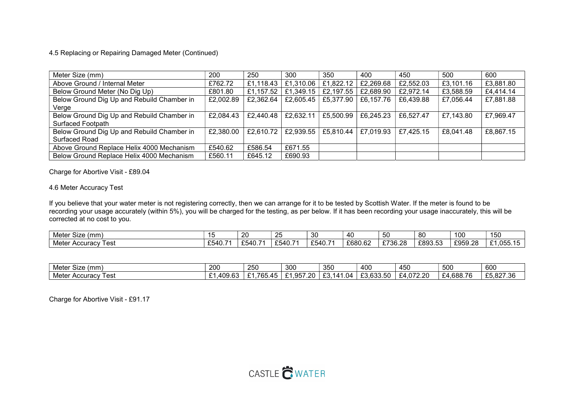### 4.5 Replacing or Repairing Damaged Meter (Continued)

| Meter Size (mm)                            | 200       | 250       | 300       | 350       | 400       | 450       | 500       | 600       |
|--------------------------------------------|-----------|-----------|-----------|-----------|-----------|-----------|-----------|-----------|
| Above Ground / Internal Meter              | £762.72   | £1,118.43 | £1,310.06 | £1,822.12 | £2,269.68 | £2,552.03 | £3,101.16 | £3,881.80 |
| Below Ground Meter (No Dig Up)             | £801.80   | £1,157.52 | £1,349.15 | £2,197.55 | £2,689.90 | £2,972.14 | £3,588.59 | £4,414.14 |
| Below Ground Dig Up and Rebuild Chamber in | £2,002.89 | £2,362.64 | £2,605.45 | £5,377.90 | £6,157.76 | £6,439.88 | £7,056.44 | £7,881.88 |
| Verge                                      |           |           |           |           |           |           |           |           |
| Below Ground Dig Up and Rebuild Chamber in | £2,084.43 | £2,440.48 | £2,632.11 | £5,500.99 | £6,245.23 | £6,527.47 | £7,143.80 | £7,969.47 |
| <b>Surfaced Footpath</b>                   |           |           |           |           |           |           |           |           |
| Below Ground Dig Up and Rebuild Chamber in | £2,380.00 | £2,610.72 | £2,939.55 | £5,810.44 | £7,019.93 | £7,425.15 | £8,041.48 | £8,867.15 |
| Surfaced Road                              |           |           |           |           |           |           |           |           |
| Above Ground Replace Helix 4000 Mechanism  | £540.62   | £586.54   | £671.55   |           |           |           |           |           |
| Below Ground Replace Helix 4000 Mechanism  | £560.11   | £645.12   | £690.93   |           |           |           |           |           |

Charge for Abortive Visit - £89.04

### 4.6 Meter Accuracy Test

If you believe that your water meter is not registering correctly, then we can arrange for it to be tested by Scottish Water. If the meter is found to be recording your usage accurately (within 5%), you will be charged for the testing, as per below. If it has been recording your usage inaccurately, this will be corrected at no cost to you.

| $\sim$<br>(mm)<br>Mete:<br>Size |                 | 20                                                     | --<br>,,,<br>∼                                           | 30<br>ັບ                                             | -40     | -<br>. .           | 80                 | 100                | 150<br>1 J V                                         |
|---------------------------------|-----------------|--------------------------------------------------------|----------------------------------------------------------|------------------------------------------------------|---------|--------------------|--------------------|--------------------|------------------------------------------------------|
| -<br>Metei<br>' est<br>Accuracy | $\sim$<br>£540. | $\sim$<br>$\overline{\phantom{0}}$<br>- 541<br>ົ<br>J. | $\sim$ $\sim$<br>$\overline{\phantom{0}}$<br>∠ാ4'`<br>᠇៴ | $\sim$ $\sim$ $\sim$ $\sim$ $\sim$<br>51<br>TV.<br>ີ | £680.62 | F73R 78<br>70.20 ب | FRQ3 53<br>LUJU.JU | FQ5Q 28<br>∠ວບວ.∠ບ | $\sim$<br><b>OEE</b><br>. .<br>.uuu<br>.<br><u>_</u> |

| $\sim$<br>Mete<br>(mm<br>Size        | 200                                 | חבר<br>zou                                            | 300                                       | ふざし<br>vvc              | 400                                                       | 45 <sub>C</sub>                           | EOC<br>้วบเ                               | $\sim$<br>ouu                        |
|--------------------------------------|-------------------------------------|-------------------------------------------------------|-------------------------------------------|-------------------------|-----------------------------------------------------------|-------------------------------------------|-------------------------------------------|--------------------------------------|
| Metei<br>ا مم ا<br>Accuracy<br>י כאנ | م م<br>$\sim$<br><del>.</del> ບວ.ບປ | <b>765</b><br>$\sim$<br>$\sqrt{2}$<br>r L J<br>ິ<br>- | $\sim$ $-$<br>$\sim$<br>20.′<br>u⊾<br>7.1 | .04<br>n n<br>14<br>- 9 | $\overline{c}$<br>$\sim$<br>$\sim$<br>'n<br>LJ.UJJ<br>ں ب | <u>በ72 ዓር</u><br>т. с<br>. . <u>. .</u> . | .688.76<br><u>ີ</u><br><u> + д</u><br>. U | $\sim$ $\sim$<br>827.36<br>LO.OZ7.00 |

Charge for Abortive Visit - £91.17

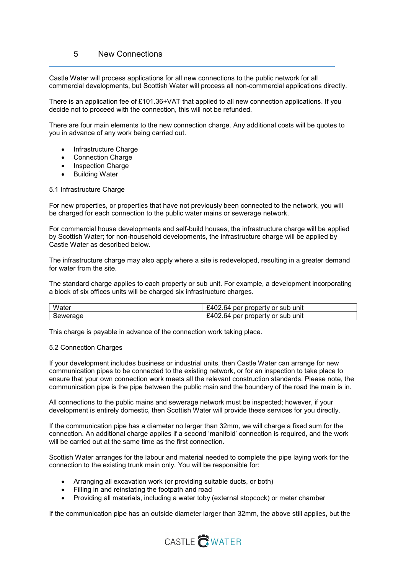## 5 New Connections

Castle Water will process applications for all new connections to the public network for all commercial developments, but Scottish Water will process all non-commercial applications directly.

There is an application fee of £101.36+VAT that applied to all new connection applications. If you decide not to proceed with the connection, this will not be refunded.

There are four main elements to the new connection charge. Any additional costs will be quotes to you in advance of any work being carried out.

- Infrastructure Charge
- Connection Charge
- Inspection Charge
- Building Water

#### 5.1 Infrastructure Charge

For new properties, or properties that have not previously been connected to the network, you will be charged for each connection to the public water mains or sewerage network.

For commercial house developments and self-build houses, the infrastructure charge will be applied by Scottish Water; for non-household developments, the infrastructure charge will be applied by Castle Water as described below.

The infrastructure charge may also apply where a site is redeveloped, resulting in a greater demand for water from the site.

The standard charge applies to each property or sub unit. For example, a development incorporating a block of six offices units will be charged six infrastructure charges.

| Water    | property<br>unit<br>or sub<br>۰л<br>per<br>64<br>uz       |
|----------|-----------------------------------------------------------|
| Sewerage | .64<br>unit<br>property or sub<br>$\Delta$ l<br>per<br>UZ |

This charge is payable in advance of the connection work taking place.

#### 5.2 Connection Charges

If your development includes business or industrial units, then Castle Water can arrange for new communication pipes to be connected to the existing network, or for an inspection to take place to ensure that your own connection work meets all the relevant construction standards. Please note, the communication pipe is the pipe between the public main and the boundary of the road the main is in.

All connections to the public mains and sewerage network must be inspected; however, if your development is entirely domestic, then Scottish Water will provide these services for you directly.

If the communication pipe has a diameter no larger than 32mm, we will charge a fixed sum for the connection. An additional charge applies if a second 'manifold' connection is required, and the work will be carried out at the same time as the first connection.

Scottish Water arranges for the labour and material needed to complete the pipe laying work for the connection to the existing trunk main only. You will be responsible for:

- Arranging all excavation work (or providing suitable ducts, or both)
- Filling in and reinstating the footpath and road
- Providing all materials, including a water toby (external stopcock) or meter chamber

If the communication pipe has an outside diameter larger than 32mm, the above still applies, but the

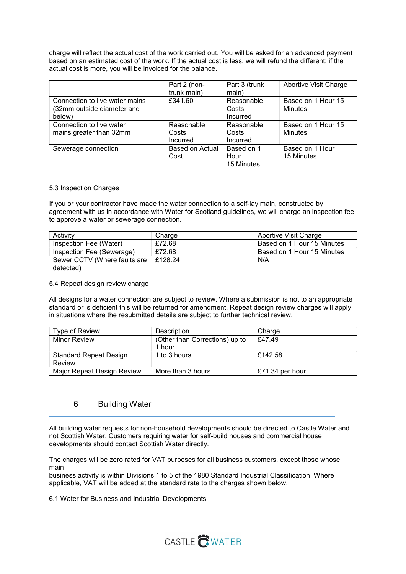charge will reflect the actual cost of the work carried out. You will be asked for an advanced payment based on an estimated cost of the work. If the actual cost is less, we will refund the different; if the actual cost is more, you will be invoiced for the balance.

|                                | Part 2 (non-    | Part 3 (trunk | Abortive Visit Charge |
|--------------------------------|-----------------|---------------|-----------------------|
|                                | trunk main)     | main)         |                       |
| Connection to live water mains | £341.60         | Reasonable    | Based on 1 Hour 15    |
| (32mm outside diameter and     |                 | Costs         | Minutes               |
| below)                         |                 | Incurred      |                       |
| Connection to live water       | Reasonable      | Reasonable    | Based on 1 Hour 15    |
| mains greater than 32mm        | Costs           | Costs         | Minutes               |
|                                | Incurred        | Incurred      |                       |
| Sewerage connection            | Based on Actual | Based on 1    | Based on 1 Hour       |
|                                | Cost            | Hour          | 15 Minutes            |
|                                |                 | 15 Minutes    |                       |

#### 5.3 Inspection Charges

If you or your contractor have made the water connection to a self-lay main, constructed by agreement with us in accordance with Water for Scotland guidelines, we will charge an inspection fee to approve a water or sewerage connection.

| Activity                     | Charge  | Abortive Visit Charge      |
|------------------------------|---------|----------------------------|
| Inspection Fee (Water)       | £72.68  | Based on 1 Hour 15 Minutes |
| Inspection Fee (Sewerage)    | £72.68  | Based on 1 Hour 15 Minutes |
| Sewer CCTV (Where faults are | E128.24 | N/A                        |
| detected)                    |         |                            |

#### 5.4 Repeat design review charge

All designs for a water connection are subject to review. Where a submission is not to an appropriate standard or is deficient this will be returned for amendment. Repeat design review charges will apply in situations where the resubmitted details are subject to further technical review.

| Type of Review                | Description                    | Charge          |
|-------------------------------|--------------------------------|-----------------|
| <b>Minor Review</b>           | (Other than Corrections) up to | £47.49          |
|                               | 1 hour                         |                 |
| <b>Standard Repeat Design</b> | 1 to 3 hours                   | £142.58         |
| Review                        |                                |                 |
| Major Repeat Design Review    | More than 3 hours              | £71.34 per hour |

### 6 Building Water

All building water requests for non-household developments should be directed to Castle Water and not Scottish Water. Customers requiring water for self-build houses and commercial house developments should contact Scottish Water directly.

The charges will be zero rated for VAT purposes for all business customers, except those whose main

business activity is within Divisions 1 to 5 of the 1980 Standard Industrial Classification. Where applicable, VAT will be added at the standard rate to the charges shown below.

6.1 Water for Business and Industrial Developments

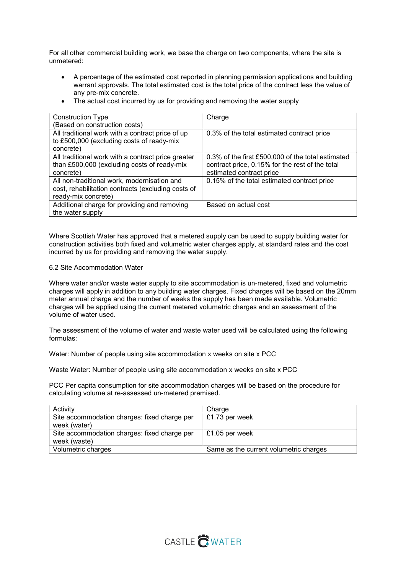For all other commercial building work, we base the charge on two components, where the site is unmetered:

- A percentage of the estimated cost reported in planning permission applications and building warrant approvals. The total estimated cost is the total price of the contract less the value of any pre-mix concrete.
- The actual cost incurred by us for providing and removing the water supply

| <b>Construction Type</b>                           | Charge                                            |
|----------------------------------------------------|---------------------------------------------------|
| (Based on construction costs)                      |                                                   |
| All traditional work with a contract price of up   | 0.3% of the total estimated contract price        |
| to £500,000 (excluding costs of ready-mix          |                                                   |
| concrete)                                          |                                                   |
| All traditional work with a contract price greater | 0.3% of the first £500,000 of the total estimated |
| than £500,000 (excluding costs of ready-mix        | contract price, 0.15% for the rest of the total   |
| concrete)                                          | estimated contract price                          |
| All non-traditional work, modernisation and        | 0.15% of the total estimated contract price       |
| cost, rehabilitation contracts (excluding costs of |                                                   |
| ready-mix concrete)                                |                                                   |
| Additional charge for providing and removing       | Based on actual cost                              |
| the water supply                                   |                                                   |

Where Scottish Water has approved that a metered supply can be used to supply building water for construction activities both fixed and volumetric water charges apply, at standard rates and the cost incurred by us for providing and removing the water supply.

#### 6.2 Site Accommodation Water

Where water and/or waste water supply to site accommodation is un-metered, fixed and volumetric charges will apply in addition to any building water charges. Fixed charges will be based on the 20mm meter annual charge and the number of weeks the supply has been made available. Volumetric charges will be applied using the current metered volumetric charges and an assessment of the volume of water used.

The assessment of the volume of water and waste water used will be calculated using the following formulas:

Water: Number of people using site accommodation x weeks on site x PCC

Waste Water: Number of people using site accommodation x weeks on site x PCC

PCC Per capita consumption for site accommodation charges will be based on the procedure for calculating volume at re-assessed un-metered premised.

| Activity                                     | Charge                                 |
|----------------------------------------------|----------------------------------------|
| Site accommodation charges: fixed charge per | £1.73 per week                         |
| week (water)                                 |                                        |
| Site accommodation charges: fixed charge per | £1.05 per week                         |
| week (waste)                                 |                                        |
| Volumetric charges                           | Same as the current volumetric charges |

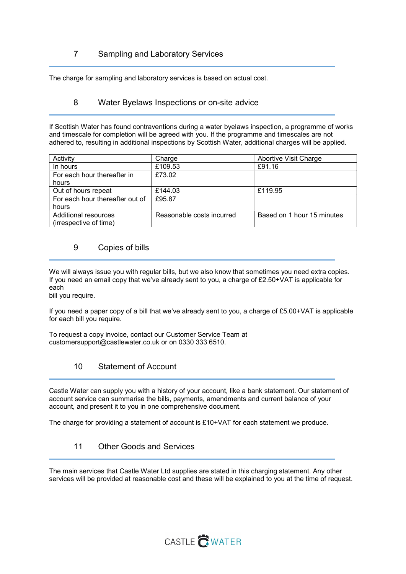# 7 Sampling and Laboratory Services

The charge for sampling and laboratory services is based on actual cost.

### 8 Water Byelaws Inspections or on-site advice

If Scottish Water has found contraventions during a water byelaws inspection, a programme of works and timescale for completion will be agreed with you. If the programme and timescales are not adhered to, resulting in additional inspections by Scottish Water, additional charges will be applied.

| Activity                        | Charge                    | <b>Abortive Visit Charge</b> |
|---------------------------------|---------------------------|------------------------------|
| In hours                        | £109.53                   | £91.16                       |
| For each hour thereafter in     | £73.02                    |                              |
| hours                           |                           |                              |
| Out of hours repeat             | £144.03                   | £119.95                      |
| For each hour thereafter out of | £95.87                    |                              |
| hours                           |                           |                              |
| Additional resources            | Reasonable costs incurred | Based on 1 hour 15 minutes   |
| (irrespective of time)          |                           |                              |

## 9 Copies of bills

We will always issue you with regular bills, but we also know that sometimes you need extra copies. If you need an email copy that we've already sent to you, a charge of £2.50+VAT is applicable for each

bill you require.

If you need a paper copy of a bill that we've already sent to you, a charge of £5.00+VAT is applicable for each bill you require.

To request a copy invoice, contact our Customer Service Team at customersupport@castlewater.co.uk or on 0330 333 6510.

# 10 Statement of Account

Castle Water can supply you with a history of your account, like a bank statement. Our statement of account service can summarise the bills, payments, amendments and current balance of your account, and present it to you in one comprehensive document.

The charge for providing a statement of account is £10+VAT for each statement we produce.

# 11 Other Goods and Services

The main services that Castle Water Ltd supplies are stated in this charging statement. Any other services will be provided at reasonable cost and these will be explained to you at the time of request.